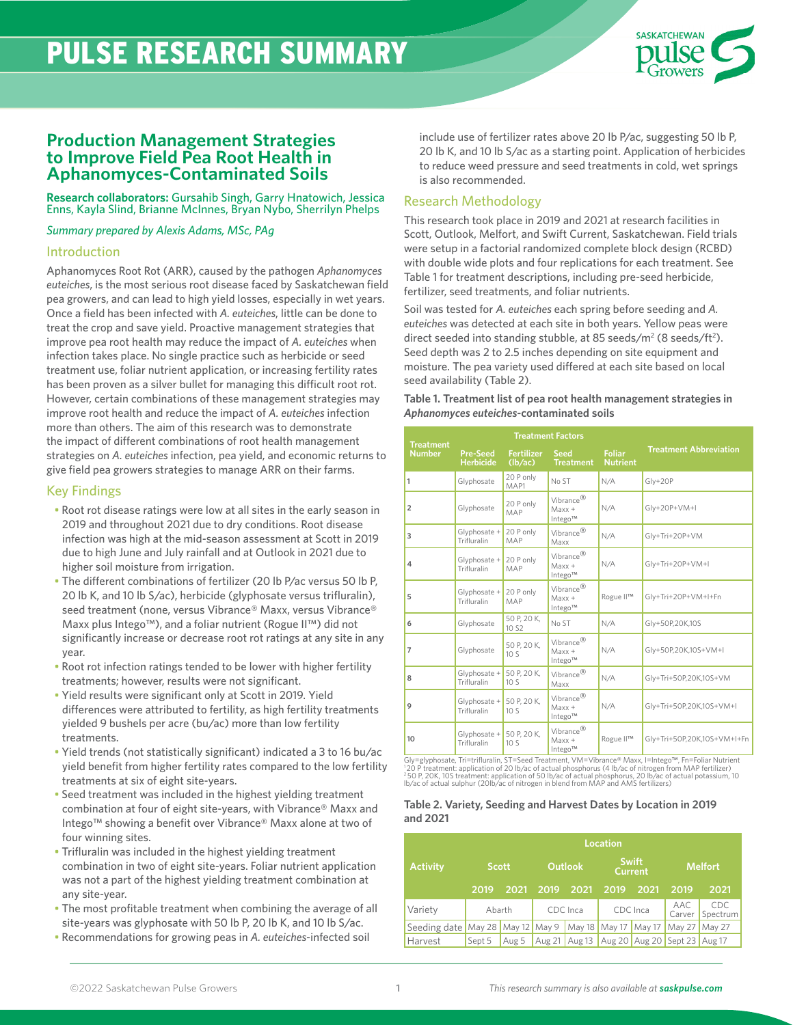# PULSE RESEARCH SUMMARY



# **Production Management Strategies to Improve Field Pea Root Health in Aphanomyces-Contaminated Soils**

**Research collaborators:** Gursahib Singh, Garry Hnatowich, Jessica Enns, Kayla Slind, Brianne McInnes, Bryan Nybo, Sherrilyn Phelps

*Summary prepared by Alexis Adams, MSc, PAg*

### Introduction

Aphanomyces Root Rot (ARR), caused by the pathogen *Aphanomyces euteiches*, is the most serious root disease faced by Saskatchewan field pea growers, and can lead to high yield losses, especially in wet years. Once a field has been infected with *A. euteiches*, little can be done to treat the crop and save yield. Proactive management strategies that improve pea root health may reduce the impact of *A. euteiches* when infection takes place. No single practice such as herbicide or seed treatment use, foliar nutrient application, or increasing fertility rates has been proven as a silver bullet for managing this difficult root rot. However, certain combinations of these management strategies may improve root health and reduce the impact of *A. euteiches* infection more than others. The aim of this research was to demonstrate the impact of different combinations of root health management strategies on *A. euteiches* infection, pea yield, and economic returns to give field pea growers strategies to manage ARR on their farms.

# Key Findings

- Root rot disease ratings were low at all sites in the early season in 2019 and throughout 2021 due to dry conditions. Root disease infection was high at the mid-season assessment at Scott in 2019 due to high June and July rainfall and at Outlook in 2021 due to higher soil moisture from irrigation.
- The different combinations of fertilizer (20 lb P/ac versus 50 lb P, 20 lb K, and 10 lb S/ac), herbicide (glyphosate versus trifluralin), seed treatment (none, versus Vibrance® Maxx, versus Vibrance® Maxx plus Intego™), and a foliar nutrient (Rogue II™) did not significantly increase or decrease root rot ratings at any site in any year.
- Root rot infection ratings tended to be lower with higher fertility treatments; however, results were not significant.
- Yield results were significant only at Scott in 2019. Yield differences were attributed to fertility, as high fertility treatments yielded 9 bushels per acre (bu/ac) more than low fertility treatments.
- Yield trends (not statistically significant) indicated a 3 to 16 bu/ac yield benefit from higher fertility rates compared to the low fertility treatments at six of eight site-years.
- Seed treatment was included in the highest yielding treatment combination at four of eight site-years, with Vibrance® Maxx and Intego™ showing a benefit over Vibrance® Maxx alone at two of four winning sites.
- Trifluralin was included in the highest yielding treatment combination in two of eight site-years. Foliar nutrient application was not a part of the highest yielding treatment combination at any site-year.
- The most profitable treatment when combining the average of all site-years was glyphosate with 50 lb P, 20 lb K, and 10 lb S/ac.
- Recommendations for growing peas in *A. euteiches*-infected soil

include use of fertilizer rates above 20 lb P/ac, suggesting 50 lb P, 20 lb K, and 10 lb S/ac as a starting point. Application of herbicides to reduce weed pressure and seed treatments in cold, wet springs is also recommended.

# Research Methodology

This research took place in 2019 and 2021 at research facilities in Scott, Outlook, Melfort, and Swift Current, Saskatchewan. Field trials were setup in a factorial randomized complete block design (RCBD) with double wide plots and four replications for each treatment. See Table 1 for treatment descriptions, including pre-seed herbicide, fertilizer, seed treatments, and foliar nutrients.

Soil was tested for *A. euteiches* each spring before seeding and *A. euteiches* was detected at each site in both years. Yellow peas were direct seeded into standing stubble, at 85 seeds/m<sup>2</sup> (8 seeds/ft<sup>2</sup>). Seed depth was 2 to 2.5 inches depending on site equipment and moisture. The pea variety used differed at each site based on local seed availability (Table 2).

| Table 1. Treatment list of pea root health management strategies in |
|---------------------------------------------------------------------|
| Aphanomyces euteiches-contaminated soils                            |

|                                   |                                     |                                | <b>Treatment Factors</b>                     |                                  |                               |
|-----------------------------------|-------------------------------------|--------------------------------|----------------------------------------------|----------------------------------|-------------------------------|
| <b>Treatment</b><br><b>Number</b> | <b>Pre-Seed</b><br><b>Herbicide</b> | <b>Fertilizer</b><br>(lb/ac)   | <b>Seed</b><br><b>Treatment</b>              | <b>Foliar</b><br><b>Nutrient</b> | <b>Treatment Abbreviation</b> |
| 1                                 | Glyphosate                          | 20 P only<br>MAP1              | No ST                                        | N/A                              | $Gly+20P$                     |
| $\overline{2}$                    | Glyphosate                          | 20 P only<br>MAP               | Vibrance <sup>®</sup><br>$Maxx +$<br>Intego™ | N/A                              | $Gly+2OP+VM+I$                |
| 3                                 | Glyphosate +<br>Trifluralin         | 20 P only<br>MAP               | Vibrance <sup>®</sup><br>Maxx                | N/A                              | Gly+Tri+20P+VM                |
| 4                                 | $Glyphosate +$<br>Trifluralin       | 20 P only<br>MAP               | Vibrance <sup>®</sup><br>$Maxx +$<br>Intego™ | N/A                              | Gly+Tri+20P+VM+I              |
| 5                                 | Glvphosate +<br>Trifluralin         | 20 P only<br>MAP               | Vibrance <sup>®</sup><br>$Maxx +$<br>Intego™ | Rogue II™                        | Gly+Tri+20P+VM+I+Fn           |
| 6                                 | Glyphosate                          | 50 P, 20 K,<br>10.S2           | No ST                                        | N/A                              | Gly+50P,20K,10S               |
| $\overline{7}$                    | Glyphosate                          | 50 P, 20 K,<br>10 <sub>S</sub> | Vibrance <sup>®</sup><br>$Maxx +$<br>Intego™ | N/A                              | Gly+50P,20K,10S+VM+I          |
| 8                                 | $Glyphosate +$<br>Trifluralin       | 50 P, 20 K,<br>10S             | Vibrance <sup>®</sup><br>Maxx                | N/A                              | Gly+Tri+50P,20K,10S+VM        |
| 9                                 | $G$ lyphosate +<br>Trifluralin      | 50 P. 20 K.<br>10 <sub>S</sub> | Vibrance <sup>®</sup><br>$Maxx +$<br>Intego™ | N/A                              | Gly+Tri+50P,20K,10S+VM+I      |
| 10                                | $Glyphosate +$<br>Trifluralin       | 50 P, 20 K,<br>10S             | Vibrance <sup>®</sup><br>$Maxx +$<br>Intego™ | Rogue II™                        | Gly+Tri+50P,20K,10S+VM+I+Fn   |

Gly=glyphosate, Tri=trifluralin, ST=Seed Treatment, VM=Vibrance® Maxx, I=Intego™, Fn=Foliar Nutrient<br>' 20 P treatment: application of 20 lb/ac of actual phosphorus (4 lb/ac of nitrogen from MAP fertilizer)<br>- 80 P, 20K, 10

#### **Table 2. Variety, Seeding and Harvest Dates by Location in 2019 and 2021**

|                                  |              |       |      |                | Location |                                |                              |                  |  |
|----------------------------------|--------------|-------|------|----------------|----------|--------------------------------|------------------------------|------------------|--|
| <b>Activity</b>                  | <b>Scott</b> |       |      | <b>Outlook</b> |          | <b>Swift</b><br><b>Current</b> | <b>Melfort</b>               |                  |  |
|                                  | 2019         | 2021  | 2019 | 2021           | 2019     | 2021                           | 2019                         | 2021             |  |
| Variety                          | Abarth       |       |      | CDC Inca       |          | CDC Inca                       | AAC.<br>Carver               | CDC.<br>Spectrum |  |
| Seeding date May 28 May 12 May 9 |              |       |      | May 18 May 17  |          | May17                          | May 27   May 27              |                  |  |
| Harvest                          | Sept 5       | Aug 5 |      | Aug 21 Aug 13  |          |                                | Aug 20 Aug 20 Sept 23 Aug 17 |                  |  |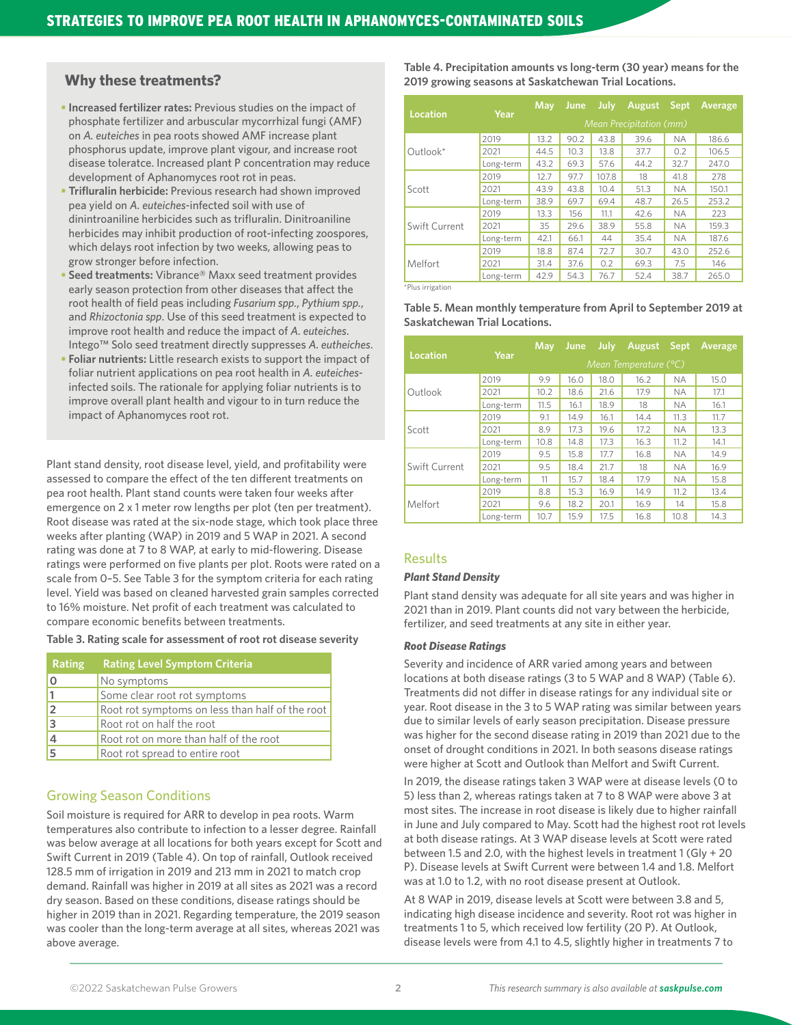# **Why these treatments?**

- **Increased fertilizer rates:** Previous studies on the impact of phosphate fertilizer and arbuscular mycorrhizal fungi (AMF) on *A. euteiches* in pea roots showed AMF increase plant phosphorus update, improve plant vigour, and increase root disease toleratce. Increased plant P concentration may reduce development of Aphanomyces root rot in peas.
- **• Trifluralin herbicide:** Previous research had shown improved pea yield on *A. euteiches*-infected soil with use of dinintroaniline herbicides such as trifluralin. Dinitroaniline herbicides may inhibit production of root-infecting zoospores, which delays root infection by two weeks, allowing peas to grow stronger before infection.
- **• Seed treatments:** Vibrance® Maxx seed treatment provides early season protection from other diseases that affect the root health of field peas including *Fusarium spp.*, *Pythium spp.*, and *Rhizoctonia spp*. Use of this seed treatment is expected to improve root health and reduce the impact of *A. euteiches*. Intego™ Solo seed treatment directly suppresses *A. eutheiches*.
- **• Foliar nutrients:** Little research exists to support the impact of foliar nutrient applications on pea root health in *A. euteiches*infected soils. The rationale for applying foliar nutrients is to improve overall plant health and vigour to in turn reduce the impact of Aphanomyces root rot.

Plant stand density, root disease level, yield, and profitability were assessed to compare the effect of the ten different treatments on pea root health. Plant stand counts were taken four weeks after emergence on 2 x 1 meter row lengths per plot (ten per treatment). Root disease was rated at the six-node stage, which took place three weeks after planting (WAP) in 2019 and 5 WAP in 2021. A second rating was done at 7 to 8 WAP, at early to mid-flowering. Disease ratings were performed on five plants per plot. Roots were rated on a scale from 0–5. See Table 3 for the symptom criteria for each rating level. Yield was based on cleaned harvested grain samples corrected to 16% moisture. Net profit of each treatment was calculated to compare economic benefits between treatments.

**Table 3. Rating scale for assessment of root rot disease severity** 

| Rating | <b>Rating Level Symptom Criteria</b>            |
|--------|-------------------------------------------------|
| 0      | No symptoms                                     |
|        | Some clear root rot symptoms                    |
|        | Root rot symptoms on less than half of the root |
| 3      | Root rot on half the root                       |
|        | Root rot on more than half of the root          |
|        | Root rot spread to entire root                  |

# Growing Season Conditions

Soil moisture is required for ARR to develop in pea roots. Warm temperatures also contribute to infection to a lesser degree. Rainfall was below average at all locations for both years except for Scott and Swift Current in 2019 (Table 4). On top of rainfall, Outlook received 128.5 mm of irrigation in 2019 and 213 mm in 2021 to match crop demand. Rainfall was higher in 2019 at all sites as 2021 was a record dry season. Based on these conditions, disease ratings should be higher in 2019 than in 2021. Regarding temperature, the 2019 season was cooler than the long-term average at all sites, whereas 2021 was above average.

**Table 4. Precipitation amounts vs long-term (30 year) means for the 2019 growing seasons at Saskatchewan Trial Locations.** 

| Location      | Year      | May                            | <b>June</b> | July  | August | <b>Sept</b> | Average |  |  |  |  |
|---------------|-----------|--------------------------------|-------------|-------|--------|-------------|---------|--|--|--|--|
|               |           | <b>Mean Precipitation (mm)</b> |             |       |        |             |         |  |  |  |  |
|               | 2019      | 13.2                           | 90.2        | 43.8  | 39.6   | <b>NA</b>   | 186.6   |  |  |  |  |
| Outlook $*$   | 2021      | 44.5                           | 10.3        | 13.8  | 37.7   | 0.2         | 106.5   |  |  |  |  |
|               | Long-term | 43.2                           | 69.3        | 57.6  | 44.2   | 32.7        | 247.0   |  |  |  |  |
|               | 2019      | 12.7                           | 97.7        | 107.8 | 18     | 41.8        | 278     |  |  |  |  |
| Scott         | 2021      | 43.9                           | 43.8        | 10.4  | 51.3   | <b>NA</b>   | 150.1   |  |  |  |  |
|               | Long-term | 38.9                           | 69.7        | 69.4  | 48.7   | 26.5        | 253.2   |  |  |  |  |
|               | 2019      | 13.3                           | 156         | 11.1  | 42.6   | <b>NA</b>   | 223     |  |  |  |  |
| Swift Current | 2021      | 35                             | 29.6        | 38.9  | 55.8   | <b>NA</b>   | 159.3   |  |  |  |  |
|               | Long-term | 42.1                           | 66.1        | 44    | 35.4   | NА          | 187.6   |  |  |  |  |
|               | 2019      | 18.8                           | 87.4        | 72.7  | 30.7   | 43.0        | 252.6   |  |  |  |  |
| Melfort       | 2021      | 31.4                           | 37.6        | 0.2   | 69.3   | 7.5         | 146     |  |  |  |  |
|               | Long-term | 42.9                           | 54.3        | 76.7  | 52.4   | 38.7        | 265.0   |  |  |  |  |

\*Plus irrigation

**Table 5. Mean monthly temperature from April to September 2019 at Saskatchewan Trial Locations.**

|               |           | <b>May</b>            | <b>June</b> | <b>July</b> | <b>August</b> | <b>Sept</b> | Average |  |  |  |  |
|---------------|-----------|-----------------------|-------------|-------------|---------------|-------------|---------|--|--|--|--|
| Location      | Year      | Mean Temperature (°C) |             |             |               |             |         |  |  |  |  |
|               | 2019      | 9.9                   | 16.0        | 18.0        | 16.2          | <b>NA</b>   | 15.0    |  |  |  |  |
| Outlook       | 2021      | 10.2                  | 18.6        | 21.6        | 17.9          | ΝA          | 17.1    |  |  |  |  |
|               | Long-term | 11.5                  | 16.1        | 18.9        | 18            | ΝA          | 16.1    |  |  |  |  |
| Scott         | 2019      | 9.1                   | 14.9        | 16.1        | 14.4          | 11.3        | 11.7    |  |  |  |  |
|               | 2021      | 8.9                   | 17.3        | 19.6        | 17.2          | ΝA          | 13.3    |  |  |  |  |
|               | Long-term | 10.8                  | 14.8        | 17.3        | 16.3          | 11.2        | 14.1    |  |  |  |  |
|               | 2019      | 9.5                   | 15.8        | 17.7        | 16.8          | <b>NA</b>   | 14.9    |  |  |  |  |
| Swift Current | 2021      | 9.5                   | 18.4        | 21.7        | 18            | NА          | 16.9    |  |  |  |  |
|               | Long-term | 11                    | 15.7        | 18.4        | 17.9          | <b>NA</b>   | 15.8    |  |  |  |  |
|               | 2019      | 8.8                   | 15.3        | 16.9        | 14.9          | 11.2        | 13.4    |  |  |  |  |
| Melfort       | 2021      | 9.6                   | 18.2        | 20.1        | 16.9          | 14          | 15.8    |  |  |  |  |
|               | Long-term | 10.7                  | 15.9        | 17.5        | 16.8          | 10.8        | 14.3    |  |  |  |  |

# Results

#### *Plant Stand Density*

Plant stand density was adequate for all site years and was higher in 2021 than in 2019. Plant counts did not vary between the herbicide, fertilizer, and seed treatments at any site in either year.

#### *Root Disease Ratings*

Severity and incidence of ARR varied among years and between locations at both disease ratings (3 to 5 WAP and 8 WAP) (Table 6). Treatments did not differ in disease ratings for any individual site or year. Root disease in the 3 to 5 WAP rating was similar between years due to similar levels of early season precipitation. Disease pressure was higher for the second disease rating in 2019 than 2021 due to the onset of drought conditions in 2021. In both seasons disease ratings were higher at Scott and Outlook than Melfort and Swift Current.

In 2019, the disease ratings taken 3 WAP were at disease levels (0 to 5) less than 2, whereas ratings taken at 7 to 8 WAP were above 3 at most sites. The increase in root disease is likely due to higher rainfall in June and July compared to May. Scott had the highest root rot levels at both disease ratings. At 3 WAP disease levels at Scott were rated between 1.5 and 2.0, with the highest levels in treatment 1 (Gly + 20 P). Disease levels at Swift Current were between 1.4 and 1.8. Melfort was at 1.0 to 1.2, with no root disease present at Outlook.

At 8 WAP in 2019, disease levels at Scott were between 3.8 and 5, indicating high disease incidence and severity. Root rot was higher in treatments 1 to 5, which received low fertility (20 P). At Outlook, disease levels were from 4.1 to 4.5, slightly higher in treatments 7 to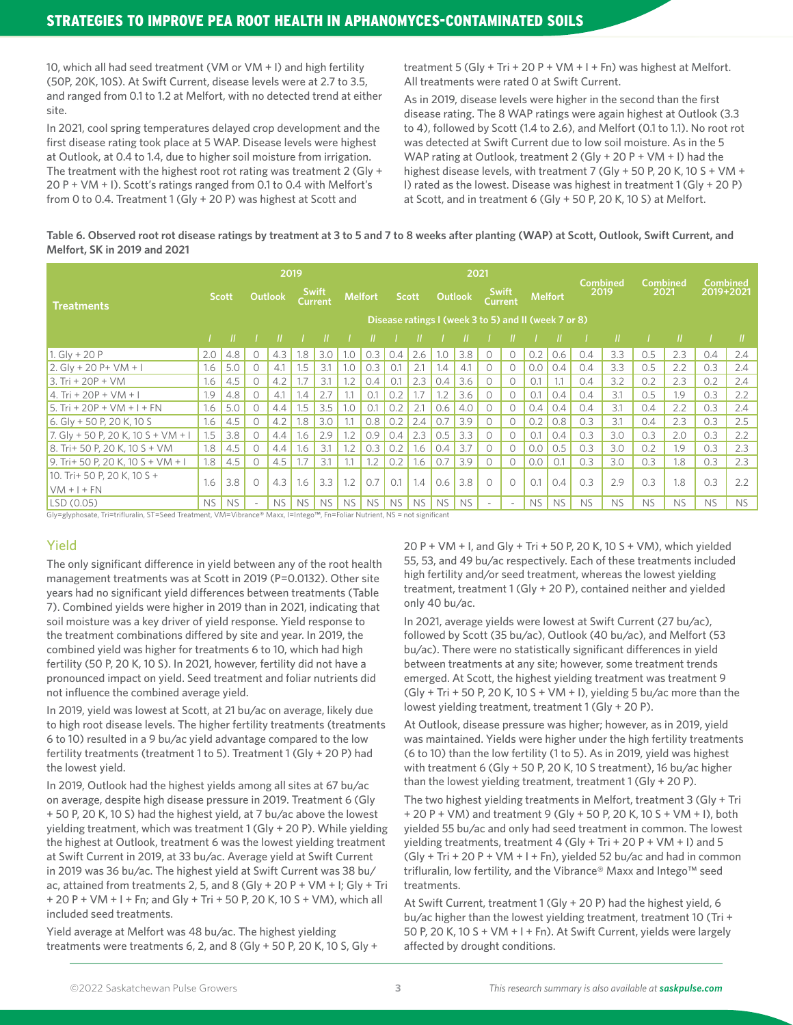10, which all had seed treatment (VM or VM + I) and high fertility (50P, 20K, 10S). At Swift Current, disease levels were at 2.7 to 3.5, and ranged from 0.1 to 1.2 at Melfort, with no detected trend at either site.

In 2021, cool spring temperatures delayed crop development and the first disease rating took place at 5 WAP. Disease levels were highest at Outlook, at 0.4 to 1.4, due to higher soil moisture from irrigation. The treatment with the highest root rot rating was treatment 2 (Gly  $+$ 20 P + VM + I). Scott's ratings ranged from 0.1 to 0.4 with Melfort's from 0 to 0.4. Treatment 1 (Gly + 20 P) was highest at Scott and

treatment 5 (Gly + Tri + 20 P + VM + I + Fn) was highest at Melfort. All treatments were rated 0 at Swift Current.

As in 2019, disease levels were higher in the second than the first disease rating. The 8 WAP ratings were again highest at Outlook (3.3 to 4), followed by Scott (1.4 to 2.6), and Melfort (0.1 to 1.1). No root rot was detected at Swift Current due to low soil moisture. As in the 5 WAP rating at Outlook, treatment 2 (Gly + 20 P + VM + I) had the highest disease levels, with treatment 7 (Gly + 50 P, 20 K, 10 S + VM + I) rated as the lowest. Disease was highest in treatment 1 (Gly + 20 P) at Scott, and in treatment 6 (Gly + 50 P, 20 K, 10 S) at Melfort.

# **Table 6. Observed root rot disease ratings by treatment at 3 to 5 and 7 to 8 weeks after planting (WAP) at Scott, Outlook, Swift Current, and Melfort, SK in 2019 and 2021**

|                                    |           |              |          |                | 2019      |                                |           |                |           |              |     | 2021                                                 |           |                         |                |           |           | <b>Combined</b> |           | <b>Combined</b> | <b>Combined</b> |           |
|------------------------------------|-----------|--------------|----------|----------------|-----------|--------------------------------|-----------|----------------|-----------|--------------|-----|------------------------------------------------------|-----------|-------------------------|----------------|-----------|-----------|-----------------|-----------|-----------------|-----------------|-----------|
| <b>Treatments</b>                  |           | <b>Scott</b> |          | <b>Outlook</b> |           | <b>Swift</b><br><b>Current</b> |           | <b>Melfort</b> |           | <b>Scott</b> |     | Outlook                                              |           | <b>Swift</b><br>Current | <b>Melfort</b> |           | 2019      |                 | 2021      |                 | 2019+2021       |           |
|                                    |           |              |          |                |           |                                |           |                |           |              |     | Disease ratings I (week 3 to 5) and II (week 7 or 8) |           |                         |                |           |           |                 |           |                 |                 |           |
|                                    |           |              |          |                |           |                                |           |                |           |              |     |                                                      |           |                         |                |           |           |                 |           |                 |                 |           |
| 1. Gly + 20 P                      | 2.0       | 4.8          | U        | 4.3            | 1.8       | 3.0                            | 1.0       | 0.3            | 0.4       | 2.6          | .0  | 3.8                                                  |           | O                       | 0.2            | 0.6       | 0.4       | 3.3             | 0.5       | 2.3             | 0.4             | 2.4       |
| $2.$ Gly + 20 P + VM + I           | 1.6       | 5.0          | 0        | 4.1            | 1.5       | 3.1                            | 1.0       | 0.3            | 0.1       | 2.1          | .4  | 4.1                                                  |           | 0                       | 0.0            | 0.4       | 0.4       | 3.3             | 0.5       | 2.2             | 0.3             | 2.4       |
| $3. Tri + 20P + VM$                | 1.6       | 4.5          | 0        | 4.2            | 1.7       | 3.1                            | 1.2       | 0.4            | 0.1       | 2.3          | 0.4 | 3.6                                                  | $\Omega$  | 0                       | 0.1            |           | 0.4       | 3.2             | 0.2       | 2.3             | 0.2             | 2.4       |
| 4. Tri + 20P + VM + I              | 1.9       | 4.8          | $\Omega$ | 4.1            | 1.4       | 2.7                            | 1.1       | O.1            | 0.2       | 1.7          | .2  | 3.6                                                  | $\Omega$  | 0                       | 0.1            | 0.4       | 0.4       | 3.1             | 0.5       | 1.9             | 0.3             | 2.2       |
| $15.$ Tri + 20P + VM + I + FN      | 1.6       | 5.0          | $\Omega$ | 4.4            | 1.5       | 3.5                            | 1.0       | 0.1            | 0.2       | 2.1          | 0.6 | 4.0                                                  | $\Omega$  | $\Omega$                | 0.4            | 0.4       | 0.4       | 3.1             | 0.4       | 2.2             | 0.3             | 2.4       |
| $6.$ Gly + 50 P, 20 K, 10 S        | 1.6       | 4.5          | $\Omega$ | 4.2            | 1.8       | 3.0                            | 1.1       | 0.8            | 0.2       | 2.4          | 0.7 | 3.9                                                  | $\Omega$  | $\Omega$                | 0.2            | 0.8       | 0.3       | 3.1             | 0.4       | 2.3             | 0.3             | 2.5       |
| 7. Gly + 50 P, 20 K, 10 S + VM + I | 1.5       | 3.8          | $\Omega$ | 4.4            | 1.6       | 2.9                            | 1.2       | 0.9            | 0.4       | 2.3          | 0.5 | 3.3                                                  | $\Omega$  | $\Omega$                | O.1            | 0.4       | 0.3       | 3.0             | 0.3       | 2.0             | 0.3             | 2.2       |
| 8. Tri+ 50 P, 20 K, 10 S + VM      | 1.8       | 4.5          | $\Omega$ | 4.4            | 1.6       | 3.1                            | 1.2       | 0.3            | 0.2       | 1.6          | 0.4 | 3.7                                                  | $\Omega$  | $\Omega$                | 0.0            | 0.5       | 0.3       | 3.0             | 0.2       | 1.9             | 0.3             | 2.3       |
| 9. Tri+ 50 P. 20 K. 10 S + VM + I  | 1.8       | 4.5          | $\Omega$ | 4.5            | 1.7       | 3.1                            | 1.1       | 1.2            | 0.2       | 1.6          | 0.7 | 3.9                                                  | $\circ$   | $\circ$                 | 0.0            | 0.1       | 0.3       | 3.0             | 0.3       | 1.8             | 0.3             | 2.3       |
| 10. Tri+ 50 P, 20 K, 10 S +        | 1.6       | 3.8          | $\Omega$ | 4.3            | 1.6       | 3.3                            | 1.2       | 0.7            | 0.1       | 1.4          | 0.6 | 3.8                                                  | $\bigcap$ | $\Omega$                | 0.1            | 0.4       | 0.3       | 2.9             | 0.3       | 1.8             | 0.3             | 2.2       |
| $NM + 1 + FN$                      |           |              |          |                |           |                                |           |                |           |              |     |                                                      |           |                         |                |           |           |                 |           |                 |                 |           |
| LSD(0.05)                          | <b>NS</b> | <b>NS</b>    | $\sim$   | <b>NS</b>      | <b>NS</b> | <b>NS</b>                      | <b>NS</b> | <b>NS</b>      | <b>NS</b> | <b>NS</b>    | NS. | <b>NS</b>                                            |           | $\sim$                  | <b>NS</b>      | <b>NS</b> | <b>NS</b> | <b>NS</b>       | <b>NS</b> | <b>NS</b>       | <b>NS</b>       | <b>NS</b> |

Gly=glyphosate, Tri=trifluralin, ST=Seed Treatment, VM=Vibrance® Maxx, I=Intego™, Fn=Foliar Nutrient, NS = not significant

# Yield

The only significant difference in yield between any of the root health management treatments was at Scott in 2019 (P=0.0132). Other site years had no significant yield differences between treatments (Table 7). Combined yields were higher in 2019 than in 2021, indicating that soil moisture was a key driver of yield response. Yield response to the treatment combinations differed by site and year. In 2019, the combined yield was higher for treatments 6 to 10, which had high fertility (50 P, 20 K, 10 S). In 2021, however, fertility did not have a pronounced impact on yield. Seed treatment and foliar nutrients did not influence the combined average yield.

In 2019, yield was lowest at Scott, at 21 bu/ac on average, likely due to high root disease levels. The higher fertility treatments (treatments 6 to 10) resulted in a 9 bu/ac yield advantage compared to the low fertility treatments (treatment 1 to 5). Treatment 1 (Gly + 20 P) had the lowest yield.

In 2019, Outlook had the highest yields among all sites at 67 bu/ac on average, despite high disease pressure in 2019. Treatment 6 (Gly + 50 P, 20 K, 10 S) had the highest yield, at 7 bu/ac above the lowest yielding treatment, which was treatment 1 (Gly + 20 P). While yielding the highest at Outlook, treatment 6 was the lowest yielding treatment at Swift Current in 2019, at 33 bu/ac. Average yield at Swift Current in 2019 was 36 bu/ac. The highest yield at Swift Current was 38 bu/ ac, attained from treatments 2, 5, and 8 (Gly + 20 P + VM + I; Gly + Tri + 20 P + VM + I + Fn; and Gly + Tri + 50 P, 20 K, 10 S + VM), which all included seed treatments.

Yield average at Melfort was 48 bu/ac. The highest yielding treatments were treatments 6, 2, and 8 (Gly + 50 P, 20 K, 10 S, Gly + 20 P + VM + I, and Gly + Tri + 50 P, 20 K, 10 S + VM), which yielded 55, 53, and 49 bu/ac respectively. Each of these treatments included high fertility and/or seed treatment, whereas the lowest yielding treatment, treatment 1 (Gly + 20 P), contained neither and yielded only 40 bu/ac.

In 2021, average yields were lowest at Swift Current (27 bu/ac), followed by Scott (35 bu/ac), Outlook (40 bu/ac), and Melfort (53 bu/ac). There were no statistically significant differences in yield between treatments at any site; however, some treatment trends emerged. At Scott, the highest yielding treatment was treatment 9  $(Gly + Tri + 50 P, 20 K, 10 S + VM + I)$ , yielding 5 bu/ac more than the lowest yielding treatment, treatment 1 (Gly + 20 P).

At Outlook, disease pressure was higher; however, as in 2019, yield was maintained. Yields were higher under the high fertility treatments (6 to 10) than the low fertility (1 to 5). As in 2019, yield was highest with treatment 6 (Gly + 50 P, 20 K, 10 S treatment), 16 bu/ac higher than the lowest yielding treatment, treatment 1 (Gly + 20 P).

The two highest yielding treatments in Melfort, treatment 3 (Gly + Tri + 20 P + VM) and treatment 9 (Gly + 50 P, 20 K, 10 S + VM + I), both yielded 55 bu/ac and only had seed treatment in common. The lowest yielding treatments, treatment 4 (Gly + Tri + 20 P + VM + I) and 5  $(Gly + Tri + 20 P + VM + I + Fn)$ , yielded 52 bu/ac and had in common trifluralin, low fertility, and the Vibrance® Maxx and Intego™ seed treatments.

At Swift Current, treatment 1 (Gly + 20 P) had the highest yield, 6 bu/ac higher than the lowest yielding treatment, treatment 10 (Tri + 50 P, 20 K, 10 S + VM + I + Fn). At Swift Current, yields were largely affected by drought conditions.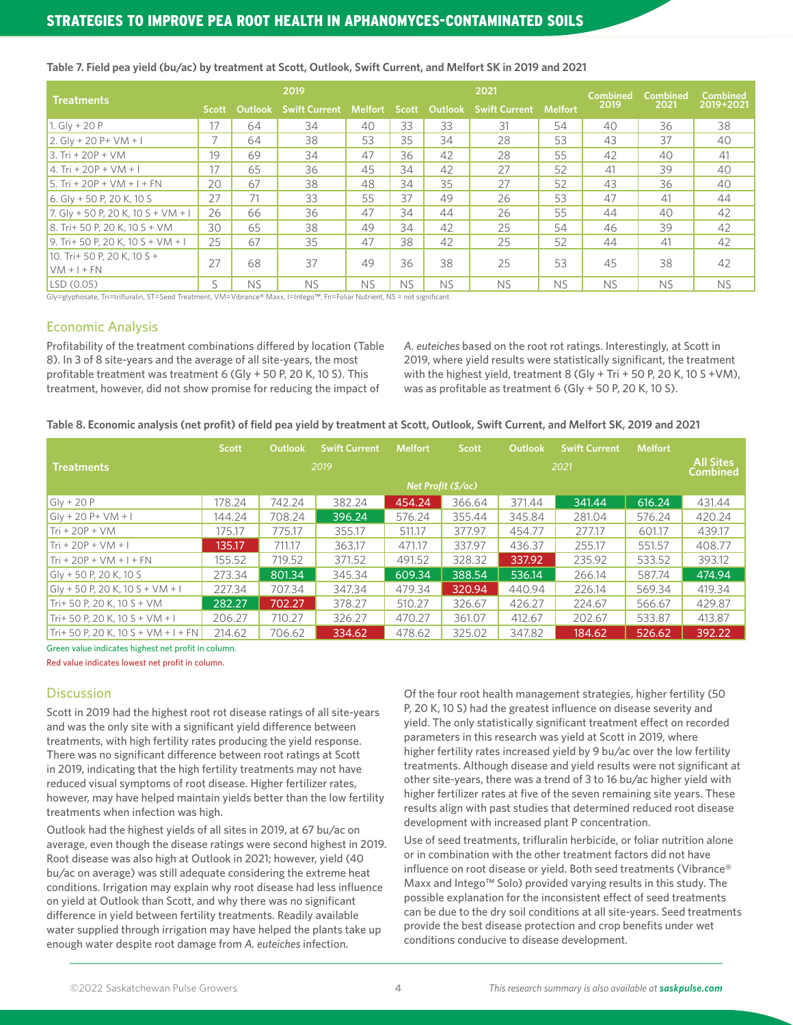| <b>Treatments</b>                  |              |           | 2019                 |                |           |           | 2021                 |                | <b>Combined</b> | Combined  | <b>Combined</b> |
|------------------------------------|--------------|-----------|----------------------|----------------|-----------|-----------|----------------------|----------------|-----------------|-----------|-----------------|
|                                    | <b>Scott</b> | Outlook   | <b>Swift Current</b> | <b>Melfort</b> | Scott     | Outlook   | <b>Swift Current</b> | <b>Melfort</b> | 2019            | 2021      | 2019+2021       |
| 1. Glv + 20 P                      | 17           | 64        | 34                   | 40             | 33        | 33        | 31                   | 54             | 40              | 36        | 38              |
| $2.$ Gly + 20 P + VM + I           |              | 64        | 38                   | 53             | 35        | 34        | 28                   | 53             | 43              | 37        | 40              |
| $3. Tri + 20P + VM$                | 19           | 69        | 34                   | 47             | 36        | 42        | 28                   | 55             | 42              | 40        | 41              |
| 4. Tri + 20P + VM + I              | 17           | 65        | 36                   | 45             | 34        | 42        | 27                   | 52             | 41              | 39        | 40              |
| 5. Tri + 20P + VM + I + FN         | 20           | 67        | 38                   | 48             | 34        | 35        | 27                   | 52             | 43              | 36        | 40              |
| 6. Gly + 50 P, 20 K, 10 S          | 27           | 71        | 33                   | 55             | 37        | 49        | 26                   | 53             | 47              | 41        | 44              |
| 7. Gly + 50 P, 20 K, 10 S + VM + I | 26           | 66        | 36                   | 47             | 34        | 44        | 26                   | 55             | 44              | 40        | 42              |
| $8.$ Tri+ 50 P, 20 K, 10 S + VM    | 30           | 65        | 38                   | 49             | 34        | 42        | 25                   | 54             | 46              | 39        | 42              |
| 9. Tri+ 50 P. 20 K. 10 S + VM + I  | 25           | 67        | 35                   | 47             | 38        | 42        | 25                   | 52             | 44              | 41        | 42              |
| 10. Tri+ 50 P. 20 K. 10 S +        | 27           | 68        | 37                   | 49             | 36        | 38        | 25                   | 53             | 45              | 38        | 42              |
| $VM + I + FN$                      |              |           |                      |                |           |           |                      |                |                 |           |                 |
| LSD (0.05)                         | S            | <b>NS</b> | <b>NS</b>            | <b>NS</b>      | <b>NS</b> | <b>NS</b> | <b>NS</b>            | <b>NS</b>      | <b>NS</b>       | <b>NS</b> | <b>NS</b>       |

#### **Table 7. Field pea yield (bu/ac) by treatment at Scott, Outlook, Swift Current, and Melfort SK in 2019 and 2021**

Gly=glyphosate, Tri=trifluralin, ST=Seed Treatment, VM=Vibrance® Maxx, I=Intego™, Fn=Foliar Nutrient, NS = not significant

# Economic Analysis

Profitability of the treatment combinations differed by location (Table 8). In 3 of 8 site-years and the average of all site-years, the most profitable treatment was treatment 6 (Gly + 50 P, 20 K, 10 S). This treatment, however, did not show promise for reducing the impact of

*A. euteiches* based on the root rot ratings. Interestingly, at Scott in 2019, where yield results were statistically significant, the treatment with the highest yield, treatment 8 (Gly + Tri + 50 P, 20 K, 10 S +VM), was as profitable as treatment 6 (Gly + 50 P, 20 K, 10 S).

| Table 8. Economic analysis (net profit) of field pea yield by treatment at Scott, Outlook, Swift Current, and Melfort SK, 2019 and 2021 |  |
|-----------------------------------------------------------------------------------------------------------------------------------------|--|
|-----------------------------------------------------------------------------------------------------------------------------------------|--|

|                                       | <b>Scott</b> | Outlook | <b>Swift Current</b> | <b>Melfort</b> | <b>Scott</b>       | <b>Outlook</b> | <b>Swift Current</b> | <b>Melfort</b> |        |  |  |
|---------------------------------------|--------------|---------|----------------------|----------------|--------------------|----------------|----------------------|----------------|--------|--|--|
| <b>Treatments</b>                     |              |         | 2019                 |                |                    | 2021           |                      |                |        |  |  |
|                                       |              |         |                      |                | Net Profit (\$/ac) |                |                      |                |        |  |  |
| $Gly + 20P$                           | 178.24       | 742.24  | 382.24               | 454.24         | 366.64             | 371.44         | 341.44               | 616.24         | 431.44 |  |  |
| $Gly + 20 P + VM + I$                 | 144.24       | 708.24  | 396.24               | 576.24         | 355.44             | 345.84         | 281.04               | 576.24         | 420.24 |  |  |
| $Tri + 20P + VM$                      | 175.17       | 775.17  | 355.17               | 511.17         | 377.97             | 454.77         | 277.17               | 601.17         | 439.17 |  |  |
| $Tri + 20P + VM + I$                  | 135.17       | 711.17  | 363.17               | 471.17         | 337.97             | 436.37         | 255.17               | 551.57         | 408.77 |  |  |
| $Tri + 20P + VM + I + FN$             | 155.52       | 719.52  | 371.52               | 491.52         | 328.32             | 337.92         | 235.92               | 533.52         | 393.12 |  |  |
| $Gly + 50 P, 20 K, 10 S$              | 273.34       | 801.34  | 345.34               | 609.34         | 388.54             | 536.14         | 266.14               | 587.74         | 474.94 |  |  |
| $Gly + 50 P, 20 K, 10 S + VM + I$     | 227.34       | 707.34  | 347.34               | 479.34         | 320.94             | 440.94         | 226.14               | 569.34         | 419.34 |  |  |
| $Tri+50$ P, 20 K, 10 S + VM           | 282.27       | 702.27  | 378.27               | 510.27         | 326.67             | 426.27         | 224.67               | 566.67         | 429.87 |  |  |
| Tri+ 50 P, 20 K, 10 S + VM + I        | 206.27       | 710.27  | 326.27               | 470.27         | 361.07             | 412.67         | 202.67               | 533.87         | 413.87 |  |  |
| $Tri+ 50 P. 20 K. 10 S + VM + I + FN$ | 214.62       | 706.62  | 334.62               | 478.62         | 325.02             | 347.82         | 184.62               | 526.62         | 392.22 |  |  |

Green value indicates highest net profit in column.

Red value indicates lowest net profit in column.

# **Discussion**

Scott in 2019 had the highest root rot disease ratings of all site-years and was the only site with a significant yield difference between treatments, with high fertility rates producing the yield response. There was no significant difference between root ratings at Scott in 2019, indicating that the high fertility treatments may not have reduced visual symptoms of root disease. Higher fertilizer rates, however, may have helped maintain yields better than the low fertility treatments when infection was high.

Outlook had the highest yields of all sites in 2019, at 67 bu/ac on average, even though the disease ratings were second highest in 2019. Root disease was also high at Outlook in 2021; however, yield (40 bu/ac on average) was still adequate considering the extreme heat conditions. Irrigation may explain why root disease had less influence on yield at Outlook than Scott, and why there was no significant difference in yield between fertility treatments. Readily available water supplied through irrigation may have helped the plants take up enough water despite root damage from *A. euteiches* infection.

Of the four root health management strategies, higher fertility (50 P, 20 K, 10 S) had the greatest influence on disease severity and yield. The only statistically significant treatment effect on recorded parameters in this research was yield at Scott in 2019, where higher fertility rates increased yield by 9 bu/ac over the low fertility treatments. Although disease and yield results were not significant at other site-years, there was a trend of 3 to 16 bu/ac higher yield with higher fertilizer rates at five of the seven remaining site years. These results align with past studies that determined reduced root disease development with increased plant P concentration.

Use of seed treatments, trifluralin herbicide, or foliar nutrition alone or in combination with the other treatment factors did not have influence on root disease or yield. Both seed treatments (Vibrance® Maxx and Intego™ Solo) provided varying results in this study. The possible explanation for the inconsistent effect of seed treatments can be due to the dry soil conditions at all site-years. Seed treatments provide the best disease protection and crop benefits under wet conditions conducive to disease development.